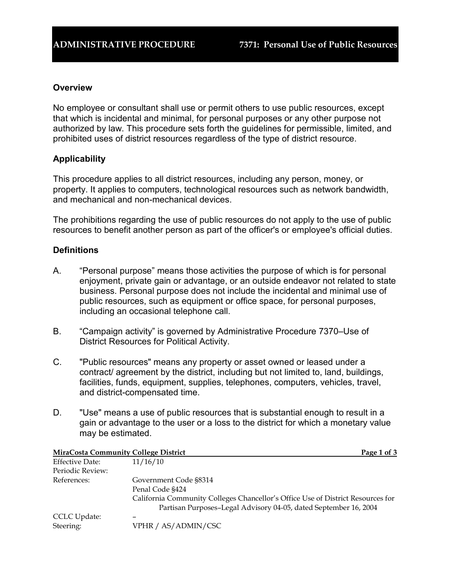#### **Overview**

No employee or consultant shall use or permit others to use public resources, except that which is incidental and minimal, for personal purposes or any other purpose not authorized by law. This procedure sets forth the guidelines for permissible, limited, and prohibited uses of district resources regardless of the type of district resource.

#### **Applicability**

This procedure applies to all district resources, including any person, money, or property. It applies to computers, technological resources such as network bandwidth, and mechanical and non-mechanical devices.

The prohibitions regarding the use of public resources do not apply to the use of public resources to benefit another person as part of the officer's or employee's official duties.

#### **Definitions**

- A. "Personal purpose" means those activities the purpose of which is for personal enjoyment, private gain or advantage, or an outside endeavor not related to state business. Personal purpose does not include the incidental and minimal use of public resources, such as equipment or office space, for personal purposes, including an occasional telephone call.
- B. "Campaign activity" is governed by Administrative Procedure 7370–Use of District Resources for Political Activity.
- C. "Public resources" means any property or asset owned or leased under a contract/ agreement by the district, including but not limited to, land, buildings, facilities, funds, equipment, supplies, telephones, computers, vehicles, travel, and district-compensated time.
- D. "Use" means a use of public resources that is substantial enough to result in a gain or advantage to the user or a loss to the district for which a monetary value may be estimated.

| <b>Effective Date:</b> | 11/16/10                                                                                                                                            |
|------------------------|-----------------------------------------------------------------------------------------------------------------------------------------------------|
| Periodic Review:       |                                                                                                                                                     |
| References:            | Government Code §8314                                                                                                                               |
|                        | Penal Code §424                                                                                                                                     |
|                        | California Community Colleges Chancellor's Office Use of District Resources for<br>Partisan Purposes-Legal Advisory 04-05, dated September 16, 2004 |
| CCLC Update:           |                                                                                                                                                     |
| Steering:              | VPHR / AS/ADMIN/CSC                                                                                                                                 |
|                        |                                                                                                                                                     |

**MiraCosta Community College District Page 1 of 3**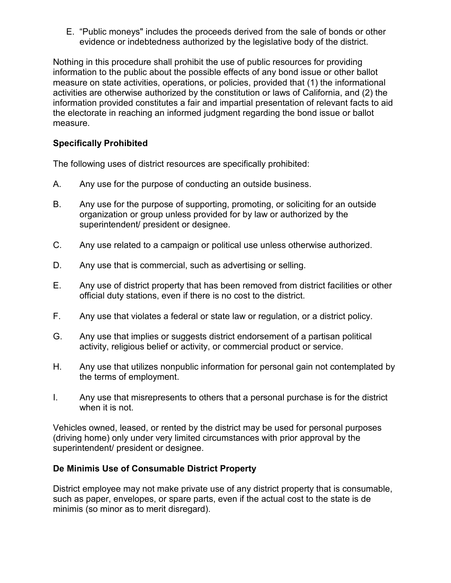E. "Public moneys" includes the proceeds derived from the sale of bonds or other evidence or indebtedness authorized by the legislative body of the district.

Nothing in this procedure shall prohibit the use of public resources for providing information to the public about the possible effects of any bond issue or other ballot measure on state activities, operations, or policies, provided that (1) the informational activities are otherwise authorized by the constitution or laws of California, and (2) the information provided constitutes a fair and impartial presentation of relevant facts to aid the electorate in reaching an informed judgment regarding the bond issue or ballot measure.

## **Specifically Prohibited**

The following uses of district resources are specifically prohibited:

- A. Any use for the purpose of conducting an outside business.
- B. Any use for the purpose of supporting, promoting, or soliciting for an outside organization or group unless provided for by law or authorized by the superintendent/ president or designee.
- C. Any use related to a campaign or political use unless otherwise authorized.
- D. Any use that is commercial, such as advertising or selling.
- E. Any use of district property that has been removed from district facilities or other official duty stations, even if there is no cost to the district.
- F. Any use that violates a federal or state law or regulation, or a district policy.
- G. Any use that implies or suggests district endorsement of a partisan political activity, religious belief or activity, or commercial product or service.
- H. Any use that utilizes nonpublic information for personal gain not contemplated by the terms of employment.
- I. Any use that misrepresents to others that a personal purchase is for the district when it is not.

Vehicles owned, leased, or rented by the district may be used for personal purposes (driving home) only under very limited circumstances with prior approval by the superintendent/ president or designee.

## **De Minimis Use of Consumable District Property**

District employee may not make private use of any district property that is consumable, such as paper, envelopes, or spare parts, even if the actual cost to the state is de minimis (so minor as to merit disregard).